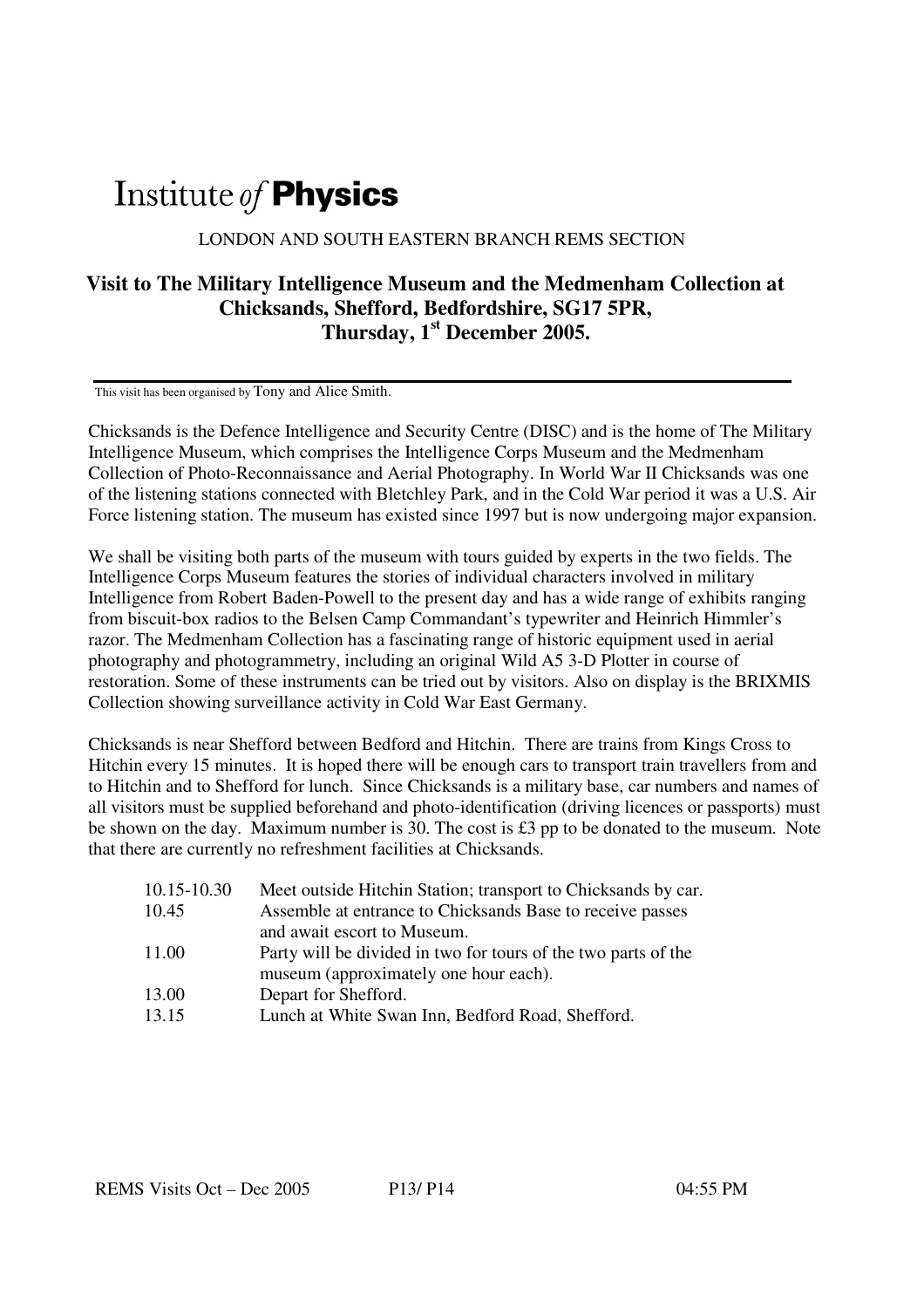## Institute of **Physics**

LONDON AND SOUTH EASTERN BRANCH REMS SECTION

## **Visit to The Military Intelligence Museum and the Medmenham Collection at Chicksands, Shefford, Bedfordshire, SG17 5PR, Thursday, 1st December 2005.**

This visit has been organised by Tony and Alice Smith.

Chicksands is the Defence Intelligence and Security Centre (DISC) and is the home of The Military Intelligence Museum, which comprises the Intelligence Corps Museum and the Medmenham Collection of Photo-Reconnaissance and Aerial Photography. In World War II Chicksands was one of the listening stations connected with Bletchley Park, and in the Cold War period it was a U.S. Air Force listening station. The museum has existed since 1997 but is now undergoing major expansion.

We shall be visiting both parts of the museum with tours guided by experts in the two fields. The Intelligence Corps Museum features the stories of individual characters involved in military Intelligence from Robert Baden-Powell to the present day and has a wide range of exhibits ranging from biscuit-box radios to the Belsen Camp Commandant's typewriter and Heinrich Himmler's razor. The Medmenham Collection has a fascinating range of historic equipment used in aerial photography and photogrammetry, including an original Wild A5 3-D Plotter in course of restoration. Some of these instruments can be tried out by visitors. Also on display is the BRIXMIS Collection showing surveillance activity in Cold War East Germany.

Chicksands is near Shefford between Bedford and Hitchin. There are trains from Kings Cross to Hitchin every 15 minutes. It is hoped there will be enough cars to transport train travellers from and to Hitchin and to Shefford for lunch. Since Chicksands is a military base, car numbers and names of all visitors must be supplied beforehand and photo-identification (driving licences or passports) must be shown on the day. Maximum number is 30. The cost is £3 pp to be donated to the museum. Note that there are currently no refreshment facilities at Chicksands.

| 10.15-10.30 | Meet outside Hitchin Station; transport to Chicksands by car.  |
|-------------|----------------------------------------------------------------|
| 10.45       | Assemble at entrance to Chicksands Base to receive passes      |
|             | and await escort to Museum.                                    |
| 11.00       | Party will be divided in two for tours of the two parts of the |
|             | museum (approximately one hour each).                          |
| 13.00       | Depart for Shefford.                                           |
| 13.15       | Lunch at White Swan Inn, Bedford Road, Shefford.               |